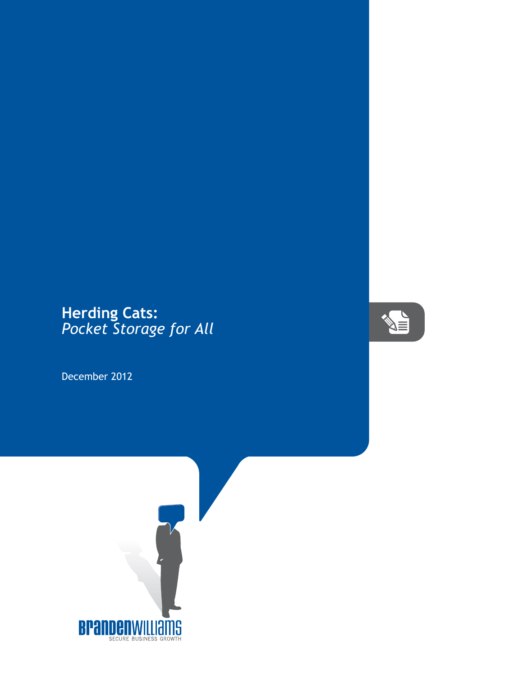## **Herding Cats:** *Pocket Storage for All*

December 2012



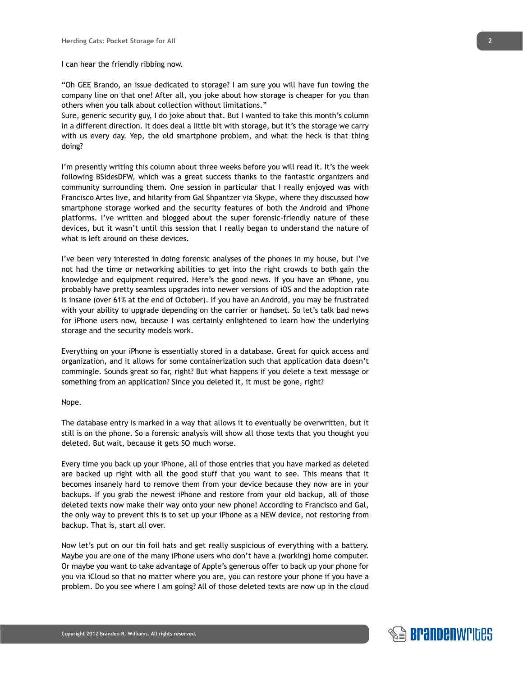## I can hear the friendly ribbing now.

"Oh GEE Brando, an issue dedicated to storage? I am sure you will have fun towing the company line on that one! After all, you joke about how storage is cheaper for you than others when you talk about collection without limitations."

Sure, generic security guy, I do joke about that. But I wanted to take this month's column in a different direction. It does deal a little bit with storage, but it's the storage we carry with us every day. Yep, the old smartphone problem, and what the heck is that thing doing?

I'm presently writing this column about three weeks before you will read it. It's the week following BSidesDFW, which was a great success thanks to the fantastic organizers and community surrounding them. One session in particular that I really enjoyed was with Francisco Artes live, and hilarity from Gal Shpantzer via Skype, where they discussed how smartphone storage worked and the security features of both the Android and iPhone platforms. I've written and blogged about the super forensic-friendly nature of these devices, but it wasn't until this session that I really began to understand the nature of what is left around on these devices.

I've been very interested in doing forensic analyses of the phones in my house, but I've not had the time or networking abilities to get into the right crowds to both gain the knowledge and equipment required. Here's the good news. If you have an iPhone, you probably have pretty seamless upgrades into newer versions of iOS and the adoption rate is insane (over 61% at the end of October). If you have an Android, you may be frustrated with your ability to upgrade depending on the carrier or handset. So let's talk bad news for iPhone users now, because I was certainly enlightened to learn how the underlying storage and the security models work.

Everything on your iPhone is essentially stored in a database. Great for quick access and organization, and it allows for some containerization such that application data doesn't commingle. Sounds great so far, right? But what happens if you delete a text message or something from an application? Since you deleted it, it must be gone, right?

## Nope.

The database entry is marked in a way that allows it to eventually be overwritten, but it still is on the phone. So a forensic analysis will show all those texts that you thought you deleted. But wait, because it gets SO much worse.

Every time you back up your iPhone, all of those entries that you have marked as deleted are backed up right with all the good stuff that you want to see. This means that it becomes insanely hard to remove them from your device because they now are in your backups. If you grab the newest iPhone and restore from your old backup, all of those deleted texts now make their way onto your new phone! According to Francisco and Gal, the only way to prevent this is to set up your iPhone as a NEW device, not restoring from backup. That is, start all over.

Now let's put on our tin foil hats and get really suspicious of everything with a battery. Maybe you are one of the many iPhone users who don't have a (working) home computer. Or maybe you want to take advantage of Apple's generous offer to back up your phone for you via iCloud so that no matter where you are, you can restore your phone if you have a problem. Do you see where I am going? All of those deleted texts are now up in the cloud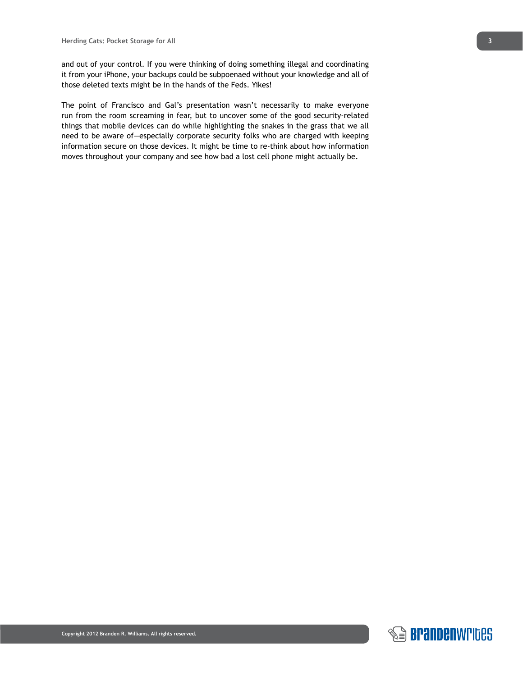and out of your control. If you were thinking of doing something illegal and coordinating it from your iPhone, your backups could be subpoenaed without your knowledge and all of those deleted texts might be in the hands of the Feds. Yikes!

The point of Francisco and Gal's presentation wasn't necessarily to make everyone run from the room screaming in fear, but to uncover some of the good security-related things that mobile devices can do while highlighting the snakes in the grass that we all need to be aware of—especially corporate security folks who are charged with keeping information secure on those devices. It might be time to re-think about how information moves throughout your company and see how bad a lost cell phone might actually be.